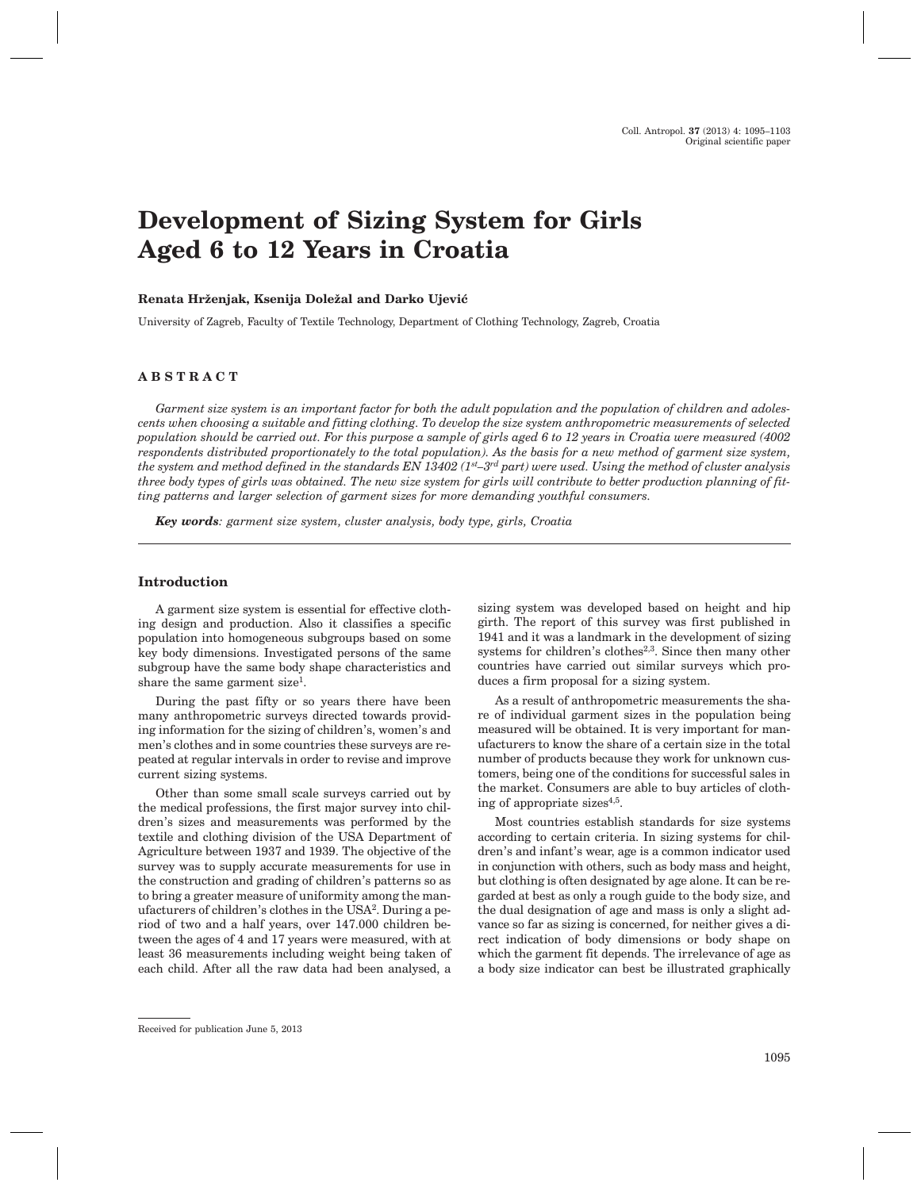# **Development of Sizing System for Girls Aged 6 to 12 Years in Croatia**

# Renata Hrženjak, Ksenija Doležal and Darko Ujević

University of Zagreb, Faculty of Textile Technology, Department of Clothing Technology, Zagreb, Croatia

# **ABSTRACT**

*Garment size system is an important factor for both the adult population and the population of children and adolescents when choosing a suitable and fitting clothing. To develop the size system anthropometric measurements of selected population should be carried out. For this purpose a sample of girls aged 6 to 12 years in Croatia were measured (4002 respondents distributed proportionately to the total population). As the basis for a new method of garment size system, the system and method defined in the standards EN 13402 (1st–3rd part) were used. Using the method of cluster analysis three body types of girls was obtained. The new size system for girls will contribute to better production planning of fitting patterns and larger selection of garment sizes for more demanding youthful consumers.*

*Key words: garment size system, cluster analysis, body type, girls, Croatia*

# **Introduction**

A garment size system is essential for effective clothing design and production. Also it classifies a specific population into homogeneous subgroups based on some key body dimensions. Investigated persons of the same subgroup have the same body shape characteristics and share the same garment size<sup>1</sup>.

During the past fifty or so years there have been many anthropometric surveys directed towards providing information for the sizing of children's, women's and men's clothes and in some countries these surveys are repeated at regular intervals in order to revise and improve current sizing systems.

Other than some small scale surveys carried out by the medical professions, the first major survey into children's sizes and measurements was performed by the textile and clothing division of the USA Department of Agriculture between 1937 and 1939. The objective of the survey was to supply accurate measurements for use in the construction and grading of children's patterns so as to bring a greater measure of uniformity among the manufacturers of children's clothes in the USA2. During a period of two and a half years, over 147.000 children between the ages of 4 and 17 years were measured, with at least 36 measurements including weight being taken of each child. After all the raw data had been analysed, a

sizing system was developed based on height and hip girth. The report of this survey was first published in 1941 and it was a landmark in the development of sizing systems for children's clothes<sup>2,3</sup>. Since then many other countries have carried out similar surveys which produces a firm proposal for a sizing system.

As a result of anthropometric measurements the share of individual garment sizes in the population being measured will be obtained. It is very important for manufacturers to know the share of a certain size in the total number of products because they work for unknown customers, being one of the conditions for successful sales in the market. Consumers are able to buy articles of clothing of appropriate sizes $4,5$ .

Most countries establish standards for size systems according to certain criteria. In sizing systems for children's and infant's wear, age is a common indicator used in conjunction with others, such as body mass and height, but clothing is often designated by age alone. It can be regarded at best as only a rough guide to the body size, and the dual designation of age and mass is only a slight advance so far as sizing is concerned, for neither gives a direct indication of body dimensions or body shape on which the garment fit depends. The irrelevance of age as a body size indicator can best be illustrated graphically

Received for publication June 5, 2013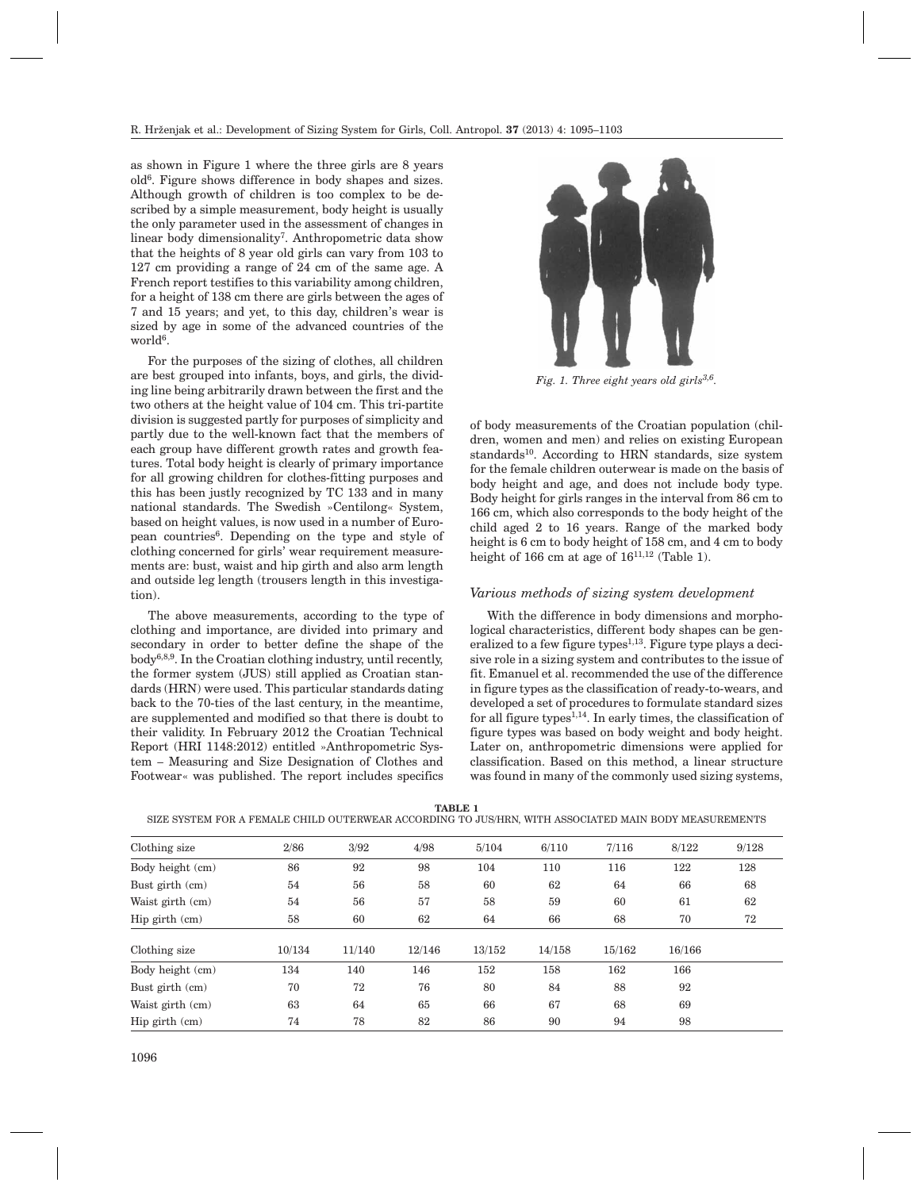as shown in Figure 1 where the three girls are 8 years old6. Figure shows difference in body shapes and sizes. Although growth of children is too complex to be described by a simple measurement, body height is usually the only parameter used in the assessment of changes in linear body dimensionality7. Anthropometric data show that the heights of 8 year old girls can vary from 103 to 127 cm providing a range of 24 cm of the same age. A French report testifies to this variability among children, for a height of 138 cm there are girls between the ages of 7 and 15 years; and yet, to this day, children's wear is sized by age in some of the advanced countries of the world6.

For the purposes of the sizing of clothes, all children are best grouped into infants, boys, and girls, the dividing line being arbitrarily drawn between the first and the two others at the height value of 104 cm. This tri-partite division is suggested partly for purposes of simplicity and partly due to the well-known fact that the members of each group have different growth rates and growth features. Total body height is clearly of primary importance for all growing children for clothes-fitting purposes and this has been justly recognized by TC 133 and in many national standards. The Swedish »Centilong« System, based on height values, is now used in a number of European countries<sup>6</sup>. Depending on the type and style of clothing concerned for girls' wear requirement measurements are: bust, waist and hip girth and also arm length and outside leg length (trousers length in this investigation).

The above measurements, according to the type of clothing and importance, are divided into primary and secondary in order to better define the shape of the  $body^{6,8,9}$ . In the Croatian clothing industry, until recently, the former system (JUS) still applied as Croatian standards (HRN) were used. This particular standards dating back to the 70-ties of the last century, in the meantime, are supplemented and modified so that there is doubt to their validity. In February 2012 the Croatian Technical Report (HRI 1148:2012) entitled »Anthropometric System – Measuring and Size Designation of Clothes and Footwear« was published. The report includes specifics



*Fig. 1. Three eight years old girls3,6.*

of body measurements of the Croatian population (children, women and men) and relies on existing European standards<sup>10</sup>. According to HRN standards, size system for the female children outerwear is made on the basis of body height and age, and does not include body type. Body height for girls ranges in the interval from 86 cm to 166 cm, which also corresponds to the body height of the child aged 2 to 16 years. Range of the marked body height is 6 cm to body height of 158 cm, and 4 cm to body height of 166 cm at age of  $16^{11,12}$  (Table 1).

# *Various methods of sizing system development*

With the difference in body dimensions and morphological characteristics, different body shapes can be generalized to a few figure types<sup>1,13</sup>. Figure type plays a decisive role in a sizing system and contributes to the issue of fit. Emanuel et al. recommended the use of the difference in figure types as the classification of ready-to-wears, and developed a set of procedures to formulate standard sizes for all figure types $^{1,14}$ . In early times, the classification of figure types was based on body weight and body height. Later on, anthropometric dimensions were applied for classification. Based on this method, a linear structure was found in many of the commonly used sizing systems,

**TABLE 1**

SIZE SYSTEM FOR A FEMALE CHILD OUTERWEAR ACCORDING TO JUS/HRN, WITH ASSOCIATED MAIN BODY MEASUREMENTS

| Clothing size      | 2/86   | 3/92   | 4/98   | 5/104  | 6/110  | 7/116  | 8/122  | 9/128 |
|--------------------|--------|--------|--------|--------|--------|--------|--------|-------|
| Body height (cm)   | 86     | 92     | 98     | 104    | 110    | 116    | 122    | 128   |
| Bust girth (cm)    | 54     | 56     | 58     | 60     | 62     | 64     | 66     | 68    |
| Waist girth (cm)   | 54     | 56     | 57     | 58     | 59     | 60     | 61     | 62    |
| $Hip$ girth $(cm)$ | 58     | 60     | 62     | 64     | 66     | 68     | 70     | 72    |
| Clothing size      | 10/134 | 11/140 | 12/146 | 13/152 | 14/158 | 15/162 | 16/166 |       |
| Body height (cm)   | 134    | 140    | 146    | 152    | 158    | 162    | 166    |       |
| Bust girth (cm)    | 70     | 72     | 76     | 80     | 84     | 88     | 92     |       |
| Waist girth (cm)   | 63     | 64     | 65     | 66     | 67     | 68     | 69     |       |
| Hip girth (cm)     | 74     | 78     | 82     | 86     | 90     | 94     | 98     |       |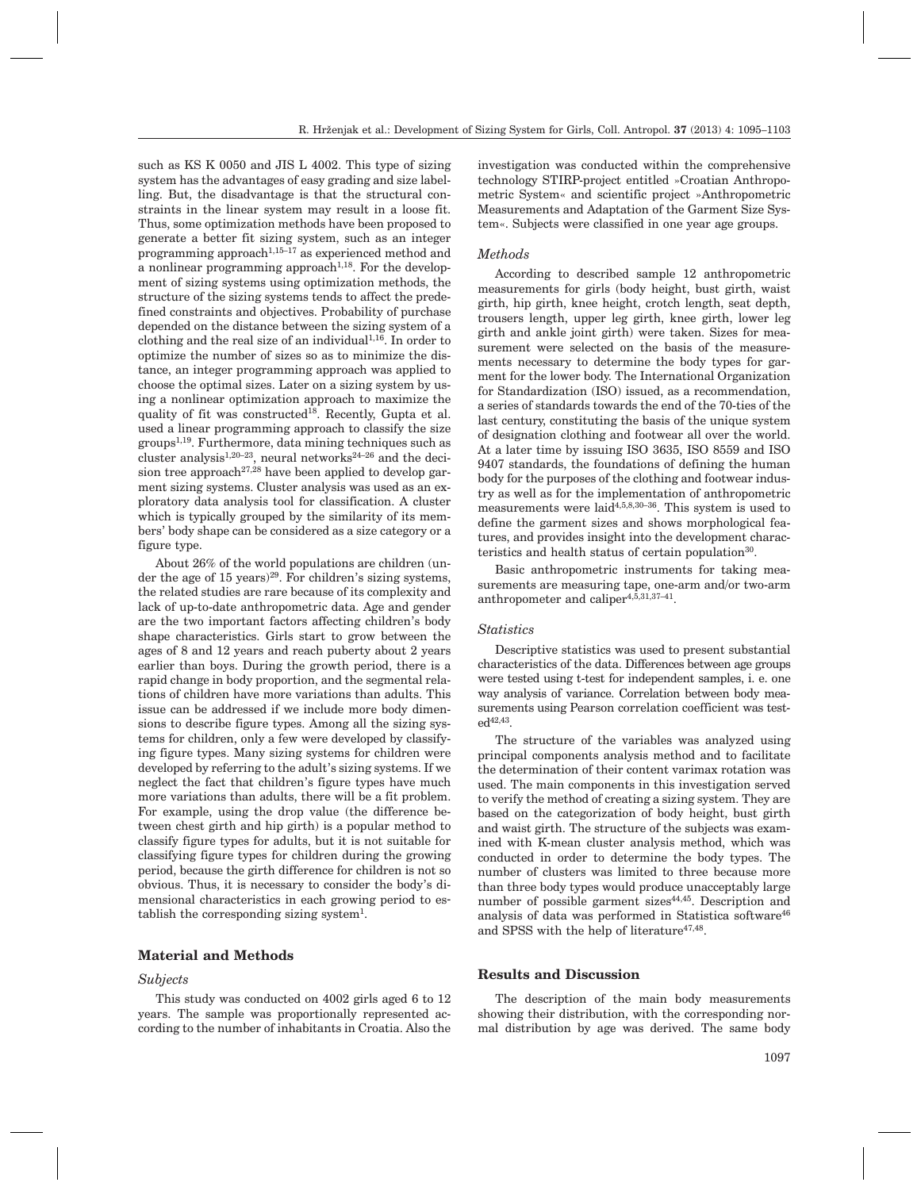such as KS K 0050 and JIS L 4002. This type of sizing system has the advantages of easy grading and size labelling. But, the disadvantage is that the structural constraints in the linear system may result in a loose fit. Thus, some optimization methods have been proposed to generate a better fit sizing system, such as an integer programming approach<sup>1,15–17</sup> as experienced method and a nonlinear programming approach<sup>1,18</sup>. For the development of sizing systems using optimization methods, the structure of the sizing systems tends to affect the predefined constraints and objectives. Probability of purchase depended on the distance between the sizing system of a clothing and the real size of an individual $1,16$ . In order to optimize the number of sizes so as to minimize the distance, an integer programming approach was applied to choose the optimal sizes. Later on a sizing system by using a nonlinear optimization approach to maximize the quality of fit was constructed18. Recently, Gupta et al. used a linear programming approach to classify the size  $groups<sup>1,19</sup>$ . Furthermore, data mining techniques such as cluster analysis1,20–23, neural networks24–26 and the decision tree approach<sup>27,28</sup> have been applied to develop garment sizing systems. Cluster analysis was used as an exploratory data analysis tool for classification. A cluster which is typically grouped by the similarity of its members' body shape can be considered as a size category or a figure type.

About 26% of the world populations are children (under the age of  $15$  years)<sup>29</sup>. For children's sizing systems, the related studies are rare because of its complexity and lack of up-to-date anthropometric data. Age and gender are the two important factors affecting children's body shape characteristics. Girls start to grow between the ages of 8 and 12 years and reach puberty about 2 years earlier than boys. During the growth period, there is a rapid change in body proportion, and the segmental relations of children have more variations than adults. This issue can be addressed if we include more body dimensions to describe figure types. Among all the sizing systems for children, only a few were developed by classifying figure types. Many sizing systems for children were developed by referring to the adult's sizing systems. If we neglect the fact that children's figure types have much more variations than adults, there will be a fit problem. For example, using the drop value (the difference between chest girth and hip girth) is a popular method to classify figure types for adults, but it is not suitable for classifying figure types for children during the growing period, because the girth difference for children is not so obvious. Thus, it is necessary to consider the body's dimensional characteristics in each growing period to establish the corresponding sizing system<sup>1</sup>.

# **Material and Methods**

### *Subjects*

This study was conducted on 4002 girls aged 6 to 12 years. The sample was proportionally represented according to the number of inhabitants in Croatia. Also the investigation was conducted within the comprehensive technology STIRP-project entitled »Croatian Anthropometric System« and scientific project »Anthropometric Measurements and Adaptation of the Garment Size System«. Subjects were classified in one year age groups.

### *Methods*

According to described sample 12 anthropometric measurements for girls (body height, bust girth, waist girth, hip girth, knee height, crotch length, seat depth, trousers length, upper leg girth, knee girth, lower leg girth and ankle joint girth) were taken. Sizes for measurement were selected on the basis of the measurements necessary to determine the body types for garment for the lower body. The International Organization for Standardization (ISO) issued, as a recommendation, a series of standards towards the end of the 70-ties of the last century, constituting the basis of the unique system of designation clothing and footwear all over the world. At a later time by issuing ISO 3635, ISO 8559 and ISO 9407 standards, the foundations of defining the human body for the purposes of the clothing and footwear industry as well as for the implementation of anthropometric measurements were laid<sup>4,5,8,30-36</sup>. This system is used to define the garment sizes and shows morphological features, and provides insight into the development characteristics and health status of certain population<sup>30</sup>.

Basic anthropometric instruments for taking measurements are measuring tape, one-arm and/or two-arm anthropometer and caliper4,5,31,37–41.

#### *Statistics*

Descriptive statistics was used to present substantial characteristics of the data. Differences between age groups were tested using t-test for independent samples, i. e. one way analysis of variance. Correlation between body measurements using Pearson correlation coefficient was test $ed^{42,43}$ 

The structure of the variables was analyzed using principal components analysis method and to facilitate the determination of their content varimax rotation was used. The main components in this investigation served to verify the method of creating a sizing system. They are based on the categorization of body height, bust girth and waist girth. The structure of the subjects was examined with K-mean cluster analysis method, which was conducted in order to determine the body types. The number of clusters was limited to three because more than three body types would produce unacceptably large number of possible garment sizes<sup>44,45</sup>. Description and analysis of data was performed in Statistica software<sup>46</sup> and SPSS with the help of literature<sup>47,48</sup>.

#### **Results and Discussion**

The description of the main body measurements showing their distribution, with the corresponding normal distribution by age was derived. The same body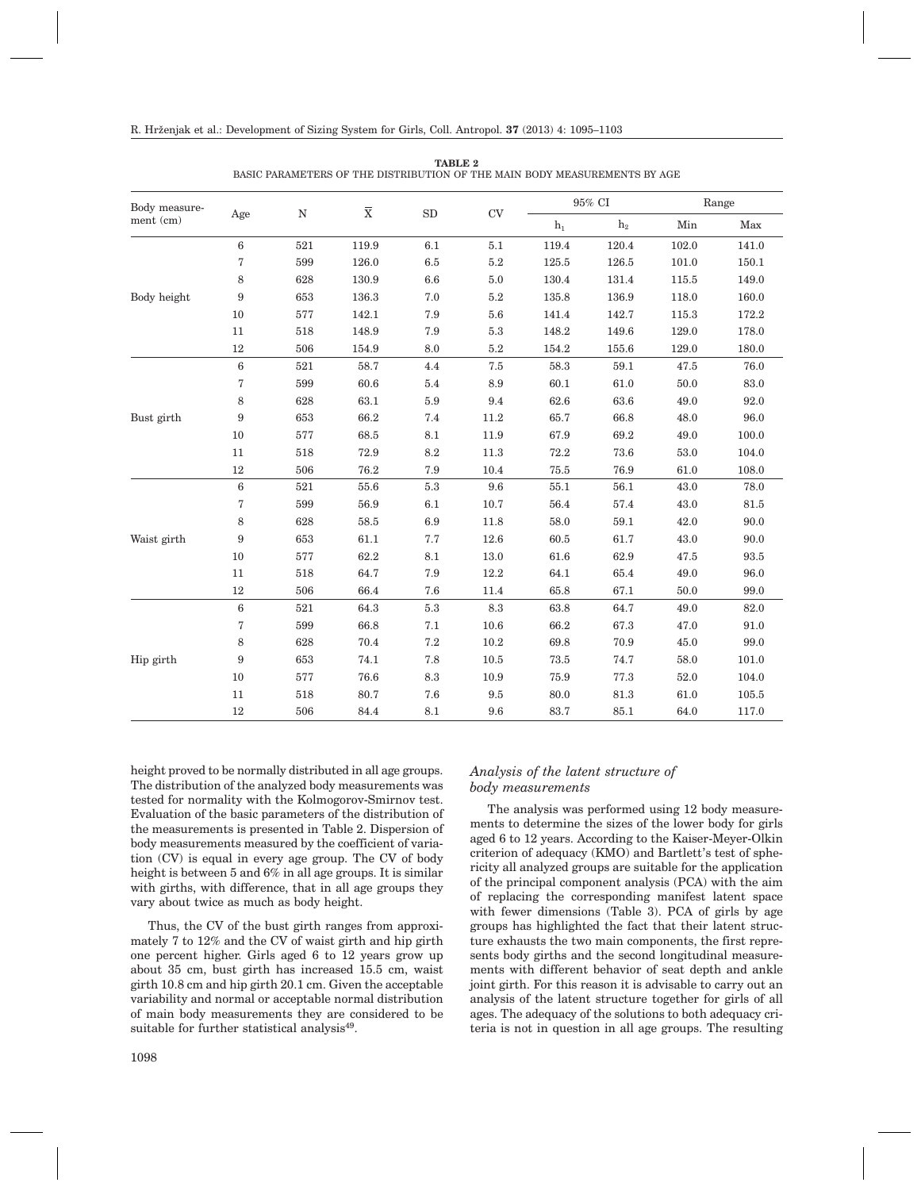| Body measure- |                  |             | $\overline{\textbf{x}}$ | SD              |               |                | 95% CI         | Range                                        |          |  |
|---------------|------------------|-------------|-------------------------|-----------------|---------------|----------------|----------------|----------------------------------------------|----------|--|
| ment (cm)     | Age              | $\mathbf N$ |                         |                 | $\mathrm{CV}$ | $\mathbf{h}_1$ | h <sub>2</sub> | Min                                          | Max      |  |
|               | $\,6$            | 521         | 119.9                   | 6.1             | $5.1\,$       | 119.4          | 120.4          | 102.0                                        | 141.0    |  |
|               | 7                | 599         | 126.0                   | 6.5             | 5.2           | $125.5\,$      | 126.5          | 101.0                                        | 150.1    |  |
|               | 8                | 628         | 130.9                   | 6.6             | $5.0\,$       | 130.4          | 131.4          | 115.5                                        | 149.0    |  |
| Body height   | 9                | 653         | 136.3                   | 7.0             | 5.2           | 135.8          | 136.9          | 118.0                                        | 160.0    |  |
|               | $10\,$           | 577         | 142.1                   | 7.9             | $5.6\,$       | 141.4          | 142.7          | 115.3                                        | 172.2    |  |
|               | 11               | 518         | 148.9                   | 7.9             | $5.3\,$       | 148.2          | 149.6          | 129.0                                        | 178.0    |  |
|               | $12\,$           | 506         | 154.9                   | 8.0             | 5.2           | 154.2          | 155.6          | 129.0                                        | 180.0    |  |
|               | $\,6\,$          | 521         | 58.7                    | 4.4             | $7.5\,$       | 58.3           | $59.1\,$       | 47.5                                         | 76.0     |  |
|               | 7                | 599         | 60.6                    | 5.4             | 8.9           | 60.1           | 61.0           | 50.0                                         | 83.0     |  |
|               | 8                | 628         | 63.1                    | $5.9\,$         | 9.4           | 62.6           | 63.6           | 49.0                                         | 92.0     |  |
| Bust girth    | 9                | 653         | 66.2                    | 7.4             | 11.2          | 65.7           | 66.8           | 48.0                                         | 96.0     |  |
|               | 10               | 577         | 68.5                    | 8.1             | 11.9          | 67.9           | 69.2           | 49.0                                         | 100.0    |  |
|               | 11               | 518         | 72.9                    | $8.2\,$         | 11.3          | 72.2           | 73.6           | 53.0                                         | 104.0    |  |
|               | $12\,$           | 506         | 76.2                    | 7.9             | 10.4          | 75.5           | 76.9           | 61.0<br>43.0<br>43.0<br>42.0<br>43.0<br>47.5 | 108.0    |  |
|               | $\boldsymbol{6}$ | 521         | $55.6\,$                | $5.3\,$         | 9.6           | $55.1\,$       | 56.1           |                                              | 78.0     |  |
|               | $\overline{7}$   | 599         | 56.9                    | 6.1             | 10.7          | 56.4           | $57.4\,$       |                                              | 81.5     |  |
|               | 8                | 628         | 58.5                    | 6.9             | 11.8          | 58.0           | 59.1           |                                              | $90.0\,$ |  |
| Waist girth   | 9                | 653         | 61.1                    | 7.7             | 12.6          | 60.5           | 61.7           |                                              | 90.0     |  |
|               | 10               | 577         | 62.2                    | 8.1             | 13.0          | 61.6           | 62.9           |                                              | 93.5     |  |
|               | 11               | 518         | 64.7                    | 7.9             | 12.2          | 64.1           | 65.4           | 49.0                                         | 96.0     |  |
|               | 12               | 506         | 66.4                    | 7.6             | 11.4          | 65.8           | 67.1           | 50.0                                         | 99.0     |  |
|               | $\,6$            | 521         | 64.3                    | 5.3             | 8.3           | 63.8           | 64.7           | 49.0                                         | 82.0     |  |
|               | 7                | 599         | 66.8                    | 7.1             | 10.6          | 66.2           | 67.3           | 47.0                                         | 91.0     |  |
|               | 8                | 628         | 70.4                    | $7.2\,$         | 10.2          | 69.8           | 70.9           | 45.0                                         | 99.0     |  |
| Hip girth     | 9                | 653         | 74.1                    | 7.8             | 10.5          | $73.5\,$       | 74.7           | 58.0                                         | 101.0    |  |
|               | 10               | 577         | 76.6                    | $\!\!\!\!\!8.3$ | 10.9          | 75.9           | 77.3           | 52.0                                         | 104.0    |  |
|               | 11               | 518         | 80.7                    | 7.6             | 9.5           | 80.0           | 81.3           | 61.0                                         | 105.5    |  |
|               | $12\,$           | 506         | 84.4                    | 8.1             | 9.6           | 83.7           | 85.1           | 64.0                                         | 117.0    |  |

**TABLE 2** BASIC PARAMETERS OF THE DISTRIBUTION OF THE MAIN BODY MEASUREMENTS BY AGE

height proved to be normally distributed in all age groups. The distribution of the analyzed body measurements was tested for normality with the Kolmogorov-Smirnov test. Evaluation of the basic parameters of the distribution of the measurements is presented in Table 2. Dispersion of body measurements measured by the coefficient of variation (CV) is equal in every age group. The CV of body height is between 5 and 6% in all age groups. It is similar with girths, with difference, that in all age groups they vary about twice as much as body height.

Thus, the CV of the bust girth ranges from approximately 7 to 12% and the CV of waist girth and hip girth one percent higher. Girls aged 6 to 12 years grow up about 35 cm, bust girth has increased 15.5 cm, waist girth 10.8 cm and hip girth 20.1 cm. Given the acceptable variability and normal or acceptable normal distribution of main body measurements they are considered to be suitable for further statistical analysis<sup>49</sup>.

*body measurements*

ments to determine the sizes of the lower body for girls aged 6 to 12 years. According to the Kaiser-Meyer-Olkin criterion of adequacy (KMO) and Bartlett's test of sphericity all analyzed groups are suitable for the application of the principal component analysis (PCA) with the aim of replacing the corresponding manifest latent space with fewer dimensions (Table 3). PCA of girls by age groups has highlighted the fact that their latent structure exhausts the two main components, the first represents body girths and the second longitudinal measurements with different behavior of seat depth and ankle joint girth. For this reason it is advisable to carry out an analysis of the latent structure together for girls of all ages. The adequacy of the solutions to both adequacy criteria is not in question in all age groups. The resulting

The analysis was performed using 12 body measure-

*Analysis of the latent structure of*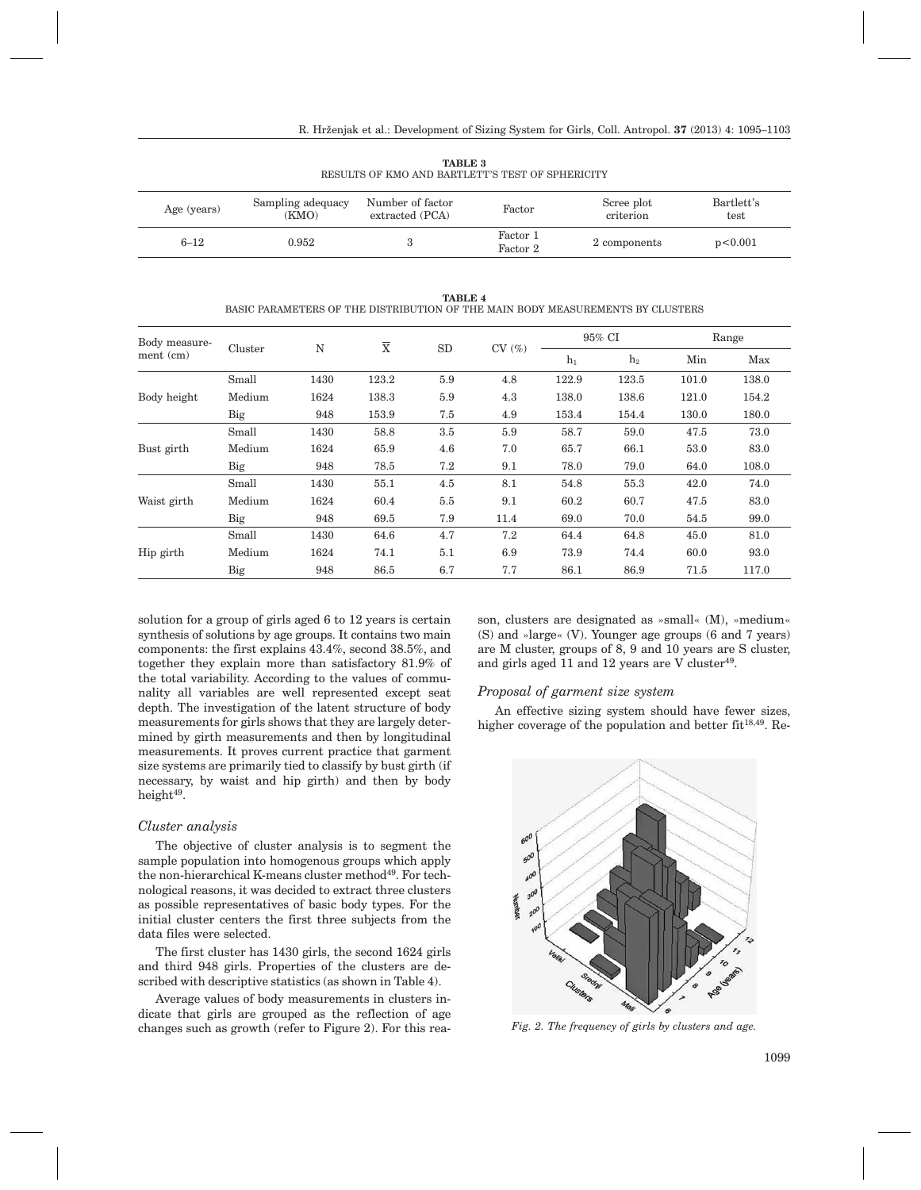| Age (years) | Sampling adequacy<br>(KMO) | Number of factor<br>extracted (PCA) | Factor               | Scree plot<br>criterion | Bartlett's<br>test |
|-------------|----------------------------|-------------------------------------|----------------------|-------------------------|--------------------|
| $6 - 12$    | 0.952                      |                                     | Factor 1<br>Factor 2 | 2 components            | p<0.001            |

**TABLE 3** RESULTS OF KMO AND BARTLETT'S TEST OF SPHERICITY

**TABLE 4**

BASIC PARAMETERS OF THE DISTRIBUTION OF THE MAIN BODY MEASUREMENTS BY CLUSTERS

| Body measure- | Cluster |      | X     |     | CV(%) |       | 95% CI | Range |       |  |
|---------------|---------|------|-------|-----|-------|-------|--------|-------|-------|--|
| $ment$ (cm)   |         | N    |       | SD  |       | $h_1$ | $h_2$  | Min   | Max   |  |
|               | Small   | 1430 | 123.2 | 5.9 | 4.8   | 122.9 | 123.5  | 101.0 | 138.0 |  |
| Body height   | Medium  | 1624 | 138.3 | 5.9 | 4.3   | 138.0 | 138.6  | 121.0 | 154.2 |  |
|               | Big     | 948  | 153.9 | 7.5 | 4.9   | 153.4 | 154.4  | 130.0 | 180.0 |  |
|               | Small   | 1430 | 58.8  | 3.5 | 5.9   | 58.7  | 59.0   | 47.5  | 73.0  |  |
| Bust girth    | Medium  | 1624 | 65.9  | 4.6 | 7.0   | 65.7  | 66.1   | 53.0  | 83.0  |  |
|               | Big     | 948  | 78.5  | 7.2 | 9.1   | 78.0  | 79.0   | 64.0  | 108.0 |  |
|               | Small   | 1430 | 55.1  | 4.5 | 8.1   | 54.8  | 55.3   | 42.0  | 74.0  |  |
| Waist girth   | Medium  | 1624 | 60.4  | 5.5 | 9.1   | 60.2  | 60.7   | 47.5  | 83.0  |  |
|               | Big     | 948  | 69.5  | 7.9 | 11.4  | 69.0  | 70.0   | 54.5  | 99.0  |  |
|               | Small   | 1430 | 64.6  | 4.7 | 7.2   | 64.4  | 64.8   | 45.0  | 81.0  |  |
| Hip girth     | Medium  | 1624 | 74.1  | 5.1 | 6.9   | 73.9  | 74.4   | 60.0  | 93.0  |  |
|               | Big     | 948  | 86.5  | 6.7 | 7.7   | 86.1  | 86.9   | 71.5  | 117.0 |  |

solution for a group of girls aged 6 to 12 years is certain synthesis of solutions by age groups. It contains two main components: the first explains 43.4%, second 38.5%, and together they explain more than satisfactory 81.9% of the total variability. According to the values of communality all variables are well represented except seat depth. The investigation of the latent structure of body measurements for girls shows that they are largely determined by girth measurements and then by longitudinal measurements. It proves current practice that garment size systems are primarily tied to classify by bust girth (if necessary, by waist and hip girth) and then by body height $49$ .

# *Cluster analysis*

The objective of cluster analysis is to segment the sample population into homogenous groups which apply the non-hierarchical K-means cluster method<sup>49</sup>. For technological reasons, it was decided to extract three clusters as possible representatives of basic body types. For the initial cluster centers the first three subjects from the data files were selected.

The first cluster has 1430 girls, the second 1624 girls and third 948 girls. Properties of the clusters are described with descriptive statistics (as shown in Table 4).

Average values of body measurements in clusters indicate that girls are grouped as the reflection of age changes such as growth (refer to Figure 2). For this reason, clusters are designated as »small« (M), »medium« (S) and »large« (V). Younger age groups (6 and 7 years) are M cluster, groups of 8, 9 and 10 years are S cluster, and girls aged 11 and 12 years are V cluster $49$ .

# *Proposal of garment size system*

An effective sizing system should have fewer sizes, higher coverage of the population and better  $fit^{18,49}$ . Re-



*Fig. 2. The frequency of girls by clusters and age.*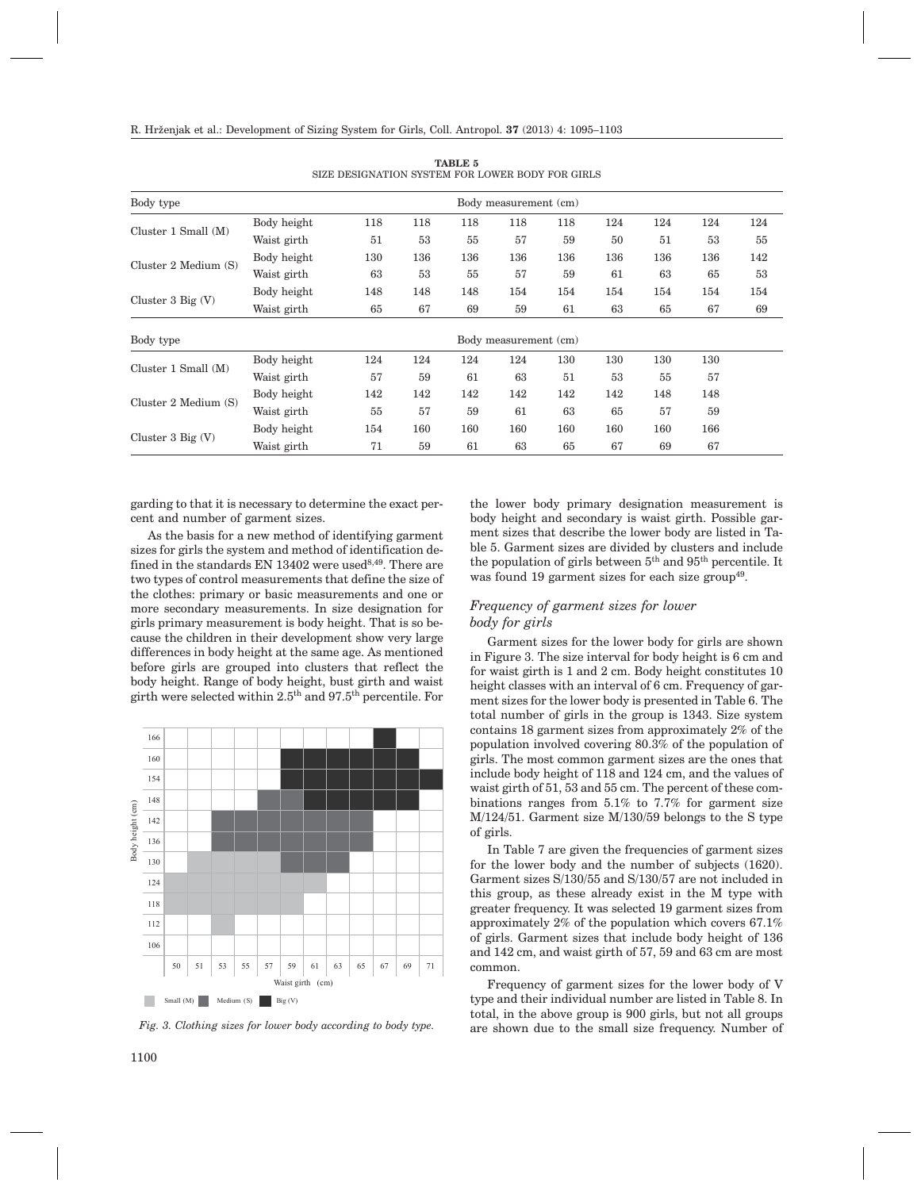| Body type<br>Body measurement (cm) |             |     |     |     |     |     |     |     |                                                                                |     |
|------------------------------------|-------------|-----|-----|-----|-----|-----|-----|-----|--------------------------------------------------------------------------------|-----|
|                                    | Body height | 118 | 118 | 118 | 118 | 118 | 124 | 124 | 124                                                                            | 124 |
| Cluster $1$ Small $(M)$            | Waist girth | 51  | 53  | 55  | 57  | 59  | 50  | 51  | 53<br>136<br>63<br>65<br>154<br>65<br>67<br>130<br>57<br>55<br>148<br>57<br>59 | 55  |
| Cluster 2 Medium (S)               | Body height | 130 | 136 | 136 | 136 | 136 | 136 | 136 |                                                                                | 142 |
|                                    | Waist girth | 63  | 53  | 55  | 57  | 59  | 61  |     |                                                                                | 53  |
| Cluster $3$ Big $(V)$              | Body height | 148 | 148 | 148 | 154 | 154 | 154 | 154 |                                                                                | 154 |
|                                    | Waist girth | 65  | 67  | 69  | 59  | 61  | 63  |     |                                                                                | 69  |
| Body type<br>Body measurement (cm) |             |     |     |     |     |     |     |     |                                                                                |     |
|                                    | Body height | 124 | 124 | 124 | 124 | 130 | 130 | 130 |                                                                                |     |
| Cluster $1$ Small $(M)$            | Waist girth | 57  | 59  | 61  | 63  | 51  | 53  |     |                                                                                |     |
|                                    | Body height | 142 | 142 | 142 | 142 | 142 | 142 | 148 |                                                                                |     |
| Cluster 2 Medium (S)               | Waist girth | 55  | 57  | 59  | 61  | 63  | 65  |     |                                                                                |     |
|                                    | Body height | 154 | 160 | 160 | 160 | 160 | 160 | 160 | 166                                                                            |     |
| Cluster $3 Big (V)$                | Waist girth | 71  | 59  | 61  | 63  | 65  | 67  | 69  | 67                                                                             |     |

**TABLE 5** SIZE DESIGNATION SYSTEM FOR LOWER BODY FOR GIRLS

garding to that it is necessary to determine the exact percent and number of garment sizes.

As the basis for a new method of identifying garment sizes for girls the system and method of identification defined in the standards EN 13402 were used $8,49$ . There are two types of control measurements that define the size of the clothes: primary or basic measurements and one or more secondary measurements. In size designation for girls primary measurement is body height. That is so because the children in their development show very large differences in body height at the same age. As mentioned before girls are grouped into clusters that reflect the body height. Range of body height, bust girth and waist girth were selected within 2.5th and 97.5th percentile. For



*Fig. 3. Clothing sizes for lower body according to body type.*

the lower body primary designation measurement is body height and secondary is waist girth. Possible garment sizes that describe the lower body are listed in Table 5. Garment sizes are divided by clusters and include the population of girls between  $5<sup>th</sup>$  and  $95<sup>th</sup>$  percentile. It was found 19 garment sizes for each size group<sup> $49$ </sup>.

# *Frequency of garment sizes for lower body for girls*

Garment sizes for the lower body for girls are shown in Figure 3. The size interval for body height is 6 cm and for waist girth is 1 and 2 cm. Body height constitutes 10 height classes with an interval of 6 cm. Frequency of garment sizes for the lower body is presented in Table 6. The total number of girls in the group is 1343. Size system contains 18 garment sizes from approximately 2% of the population involved covering 80.3% of the population of girls. The most common garment sizes are the ones that include body height of 118 and 124 cm, and the values of waist girth of 51, 53 and 55 cm. The percent of these combinations ranges from 5.1% to 7.7% for garment size M/124/51. Garment size M/130/59 belongs to the S type of girls.

In Table 7 are given the frequencies of garment sizes for the lower body and the number of subjects (1620). Garment sizes S/130/55 and S/130/57 are not included in this group, as these already exist in the M type with greater frequency. It was selected 19 garment sizes from approximately 2% of the population which covers 67.1% of girls. Garment sizes that include body height of 136 and 142 cm, and waist girth of 57, 59 and 63 cm are most common.

Frequency of garment sizes for the lower body of V type and their individual number are listed in Table 8. In total, in the above group is 900 girls, but not all groups are shown due to the small size frequency. Number of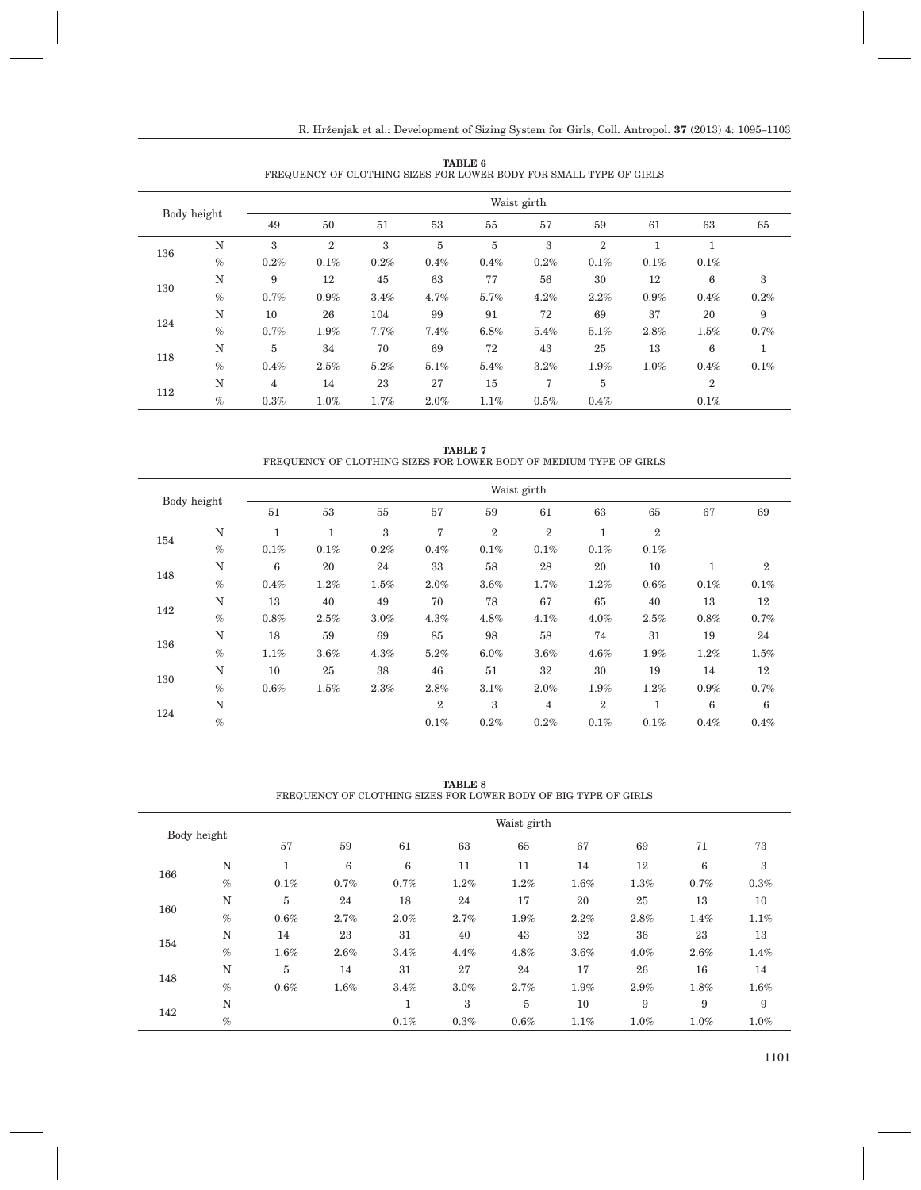| Body height |      | Waist girth |                |         |         |      |      |       |         |                |      |  |  |  |
|-------------|------|-------------|----------------|---------|---------|------|------|-------|---------|----------------|------|--|--|--|
|             |      | 49          | 50             | 51      | 53      | 55   | 57   | 59    | 61      | 63             | 65   |  |  |  |
|             | N    | 3           | $\overline{2}$ | 3       | $\bf 5$ | 5    | 3    | $\,2$ | 1       | 1              |      |  |  |  |
| 136         | $\%$ | 0.2%        | 0.1%           | 0.2%    | 0.4%    | 0.4% | 0.2% | 0.1%  | $0.1\%$ | 0.1%           |      |  |  |  |
|             | N    | 9           | 12             | 45      | 63      | 77   | 56   | 30    | 12      | 6              | 3    |  |  |  |
| 130         | $\%$ | 0.7%        | $0.9\%$        | $3.4\%$ | 4.7%    | 5.7% | 4.2% | 2.2%  | 0.9%    | 0.4%           | 0.2% |  |  |  |
| 124         | N    | 10          | 26             | 104     | 99      | 91   | 72   | 69    | 37      | 20             | 9    |  |  |  |
|             | $\%$ | 0.7%        | $1.9\%$        | 7.7%    | 7.4%    | 6.8% | 5.4% | 5.1%  | 2.8%    | 1.5%           | 0.7% |  |  |  |
|             | N    | 5           | 34             | 70      | 69      | 72   | 43   | 25    | 13      | 6              |      |  |  |  |
| 118         | $\%$ | $0.4\%$     | 2.5%           | 5.2%    | 5.1%    | 5.4% | 3.2% | 1.9%  | 1.0%    | 0.4%           | 0.1% |  |  |  |
|             | N    | 4           | 14             | 23      | 27      | 15   | 7    | 5     |         | $\overline{2}$ |      |  |  |  |
| 112         | $\%$ | 0.3%        | $1.0\%$        | 1.7%    | 2.0%    | 1.1% | 0.5% | 0.4%  |         | 0.1%           |      |  |  |  |

**TABLE 6** FREQUENCY OF CLOTHING SIZES FOR LOWER BODY FOR SMALL TYPE OF GIRLS

**TABLE 7** FREQUENCY OF CLOTHING SIZES FOR LOWER BODY OF MEDIUM TYPE OF GIRLS

| Body height |      | Waist girth |         |         |                |                  |                |                |                |      |                  |  |  |  |
|-------------|------|-------------|---------|---------|----------------|------------------|----------------|----------------|----------------|------|------------------|--|--|--|
|             |      | 51          | 53      | 55      | 57             | 59               | 61             | 63             | 65             | 67   | 69               |  |  |  |
|             | N    |             |         | 3       | 7              | $\boldsymbol{2}$ | $\,2$          | 1              | $\overline{2}$ |      |                  |  |  |  |
| 154         | $\%$ | 0.1%        | 0.1%    | 0.2%    | $0.4\%$        | 0.1%             | 0.1%           | 0.1%           | 0.1%           |      |                  |  |  |  |
|             | N    | 6           | 20      | 24      | 33             | 58               | 28             | 20             | 10             | 1    | $\boldsymbol{2}$ |  |  |  |
| 148         | $\%$ | 0.4%        | 1.2%    | $1.5\%$ | 2.0%           | 3.6%             | 1.7%           | 1.2%           | $0.6\%$        | 0.1% | 0.1%             |  |  |  |
|             | N    | 13          | 40      | 49      | 70             | 78               | 67             | 65             | 40             | 13   | 12               |  |  |  |
| 142         | $\%$ | $0.8\%$     | 2.5%    | 3.0%    | 4.3%           | 4.8%             | 4.1%           | 4.0%           | 2.5%           | 0.8% | 0.7%             |  |  |  |
|             | N    | 18          | 59      | 69      | 85             | 98               | 58             | 74             | 31             | 19   | 24               |  |  |  |
| 136         | $\%$ | $1.1\%$     | 3.6%    | 4.3%    | 5.2%           | $6.0\%$          | 3.6%           | 4.6%           | $1.9\%$        | 1.2% | $1.5\%$          |  |  |  |
|             | N    | 10          | 25      | 38      | 46             | 51               | 32             | 30             | 19             | 14   | 12               |  |  |  |
| 130         | $\%$ | $0.6\%$     | $1.5\%$ | 2.3%    | 2.8%           | 3.1%             | 2.0%           | $1.9\%$        | 1.2%           | 0.9% | 0.7%             |  |  |  |
|             | N    |             |         |         | $\overline{2}$ | 3                | $\overline{4}$ | $\overline{2}$ | 1              | 6    | 6                |  |  |  |
| 124         | $\%$ |             |         |         | $0.1\%$        | 0.2%             | 0.2%           | 0.1%           | 0.1%           | 0.4% | $0.4\%$          |  |  |  |

**TABLE 8** FREQUENCY OF CLOTHING SIZES FOR LOWER BODY OF BIG TYPE OF GIRLS

| Body height |      | Waist girth |      |      |      |                |         |      |                 |      |  |  |  |
|-------------|------|-------------|------|------|------|----------------|---------|------|-----------------|------|--|--|--|
|             |      | 57          | 59   | 61   | 63   | 65             | 67      | 69   | 71              | 73   |  |  |  |
|             | N    |             | 6    | 6    | 11   | 11             | 14      | 12   | $6\phantom{1}6$ | 3    |  |  |  |
| 166         | $\%$ | 0.1%        | 0.7% | 0.7% | 1.2% | 1.2%           | 1.6%    | 1.3% | 0.7%            | 0.3% |  |  |  |
|             | N    | 5           | 24   | 18   | 24   | 17             | 20      | 25   | 13              | 10   |  |  |  |
| 160         | $\%$ | 0.6%        | 2.7% | 2.0% | 2.7% | 1.9%           | 2.2%    | 2.8% | 1.4%            | 1.1% |  |  |  |
|             | N    | 14          | 23   | 31   | 40   | 43             | 32      | 36   | 23              | 13   |  |  |  |
| 154         | $\%$ | 1.6%        | 2.6% | 3.4% | 4.4% | 4.8%           | $3.6\%$ | 4.0% | 2.6%            | 1.4% |  |  |  |
|             | N    | 5           | 14   | 31   | 27   | 24             | 17      | 26   | 16              | 14   |  |  |  |
| 148         | $\%$ | 0.6%        | 1.6% | 3.4% | 3.0% | 2.7%           | 1.9%    | 2.9% | 1.8%            | 1.6% |  |  |  |
|             | N    |             |      |      | 3    | $\overline{5}$ | 10      | 9    | 9               | 9    |  |  |  |
| 142         | $\%$ |             |      | 0.1% | 0.3% | 0.6%           | 1.1%    | 1.0% | 1.0%            | 1.0% |  |  |  |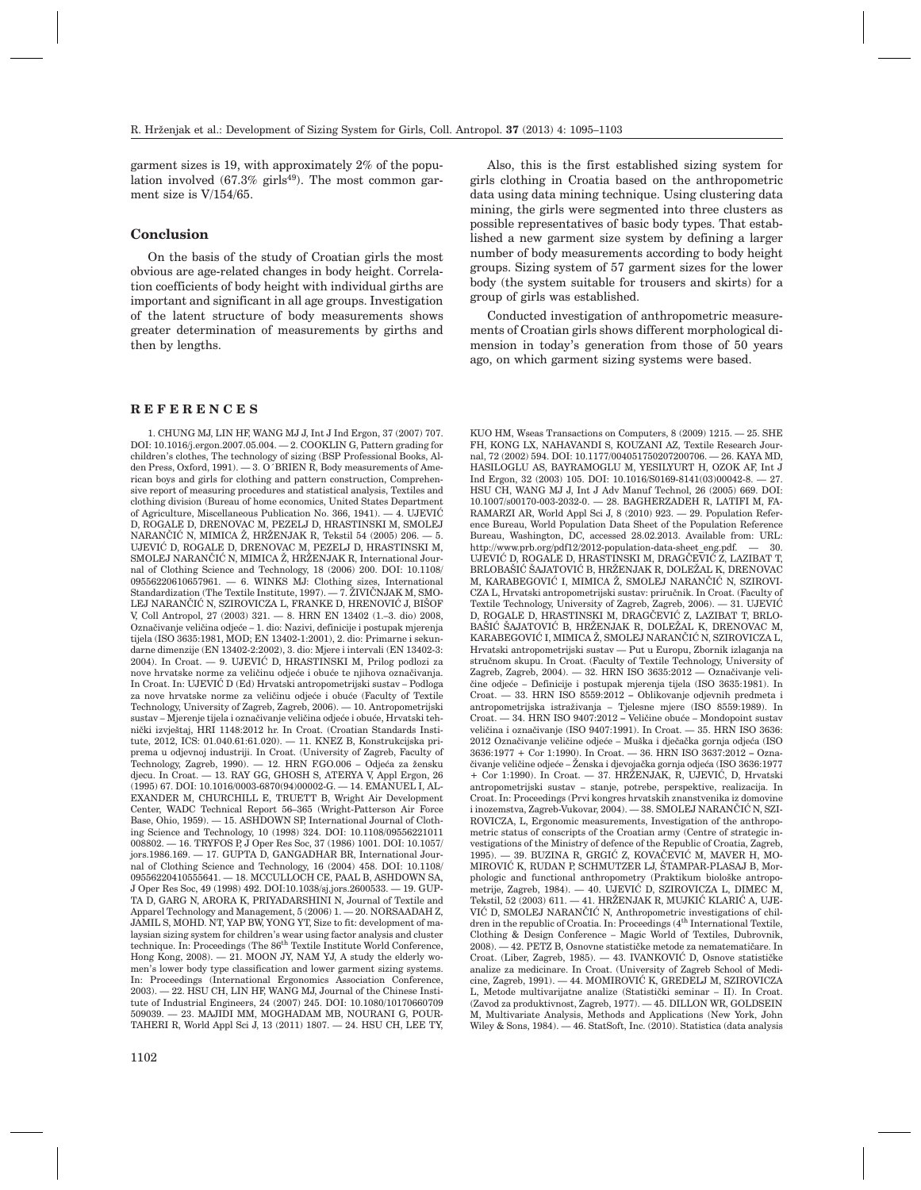garment sizes is 19, with approximately 2% of the population involved  $(67.3\% \text{ girls}^{49})$ . The most common garment size is V/154/65.

# **Conclusion**

On the basis of the study of Croatian girls the most obvious are age-related changes in body height. Correlation coefficients of body height with individual girths are important and significant in all age groups. Investigation of the latent structure of body measurements shows greater determination of measurements by girths and then by lengths.

#### **REFERENCES**

1. CHUNG MJ, LIN HF, WANG MJ J, Int J Ind Ergon, 37 (2007) 707. DOI: 10.1016/j.ergon.2007.05.004. — 2. COOKLIN G, Pattern grading for children's clothes, The technology of sizing (BSP Professional Books, Alden Press, Oxford, 1991). — 3. O´BRIEN R, Body measurements of American boys and girls for clothing and pattern construction, Comprehensive report of measuring procedures and statistical analysis, Textiles and clothing division (Bureau of home economics, United States Department of Agriculture, Miscellaneous Publication No. 366, 1941).  $-4$ , UJEVIĆ D, ROGALE D, DRENOVAC M, PEZELJ D, HRASTINSKI M, SMOLEJ NARANČIĆ N, MIMICA Ž, HRŽENJAK R, Tekstil 54 (2005) 206. — 5. UJEVIĆ D, ROGALE D, DRENOVAC M, PEZELJ D, HRASTINSKI M, SMOLEJ NARANČIĆ N, MIMICA Ž, HRŽENJAK R, International Journal of Clothing Science and Technology, 18 (2006) 200. DOI: 10.1108/ 09556220610657961. — 6. WINKS MJ: Clothing sizes, International Standardization (The Textile Institute, 1997). — 7. ŽIVIČNJAK M, SMO-LEJ NARANČIĆ N, SZIROVICZA L, FRANKE D, HRENOVIĆ J, BIŠOF V, Coll Antropol, 27 (2003) 321. — 8. HRN EN 13402 (1.–3. dio) 2008, Označivanje veličina odjeće – 1. dio: Nazivi, definicije i postupak mjerenja tijela (ISO 3635:1981, MOD; EN 13402-1:2001), 2. dio: Primarne i sekundarne dimenzije (EN 13402-2:2002), 3. dio: Mjere i intervali (EN 13402-3: 2004). In Croat. - 9. UJEVIĆ D, HRASTINSKI M, Prilog podlozi za nove hrvatske norme za veličinu odjeće i obuće te njihova označivanja. In Croat. In: UJEVIĆ D (Ed) Hrvatski antropometrijski sustav – Podloga za nove hrvatske norme za veličinu odjeće i obuće (Faculty of Textile Technology, University of Zagreb, Zagreb, 2006). — 10. Antropometrijski sustav – Mjerenje tijela i označivanje veličina odjeće i obuće. Hrvatski tehnički izvještaj, HRI 1148:2012 hr. In Croat. (Croatian Standards Institute, 2012, ICS: 01.040.61:61.020). — 11. KNEZ B, Konstrukcijska priprema u odjevnoj industriji. In Croat. (University of Zagreb, Faculty of Technology, Zagreb, 1990). — 12. HRN F.GO.006 - Odjeća za žensku diecu. In Croat. — 13. RAY GG, GHOSH S, ATERYA V, Appl Ergon, 26 (1995) 67. DOI: 10.1016/0003-6870(94)00002-G. — 14. EMANUEL I, AL-EXANDER M, CHURCHILL E, TRUETT B, Wright Air Development Center, WADC Technical Report 56–365 (Wright-Patterson Air Force Base, Ohio, 1959). — 15. ASHDOWN SP, International Journal of Clothing Science and Technology, 10 (1998) 324. DOI: 10.1108/09556221011 008802. — 16. TRYFOS P, J Oper Res Soc, 37 (1986) 1001. DOI: 10.1057/ jors.1986.169. — 17. GUPTA D, GANGADHAR BR, International Journal of Clothing Science and Technology, 16 (2004) 458. DOI: 10.1108/ 09556220410555641. — 18. MCCULLOCH CE, PAAL B, ASHDOWN SA, J Oper Res Soc, 49 (1998) 492. DOI:10.1038/sj.jors.2600533. — 19. GUP-TA D, GARG N, ARORA K, PRIYADARSHINI N, Journal of Textile and Apparel Technology and Management, 5 (2006) 1. — 20. NORSAADAH Z, JAMIL S, MOHD. NT, YAP BW, YONG YT, Size to fit: development of malaysian sizing system for children's wear using factor analysis and cluster<br>technique. In: Proceedings (The 86<sup>th</sup> Textile Institute World Conference, Hong Kong, 2008). — 21. MOON JY, NAM YJ, A study the elderly women's lower body type classification and lower garment sizing systems. In: Proceedings (International Ergonomics Association Conference, 2003). — 22. HSU CH, LIN HF, WANG MJ, Journal of the Chinese Institute of Industrial Engineers, 24 (2007) 245. DOI: 10.1080/10170660709 509039. — 23. MAJIDI MM, MOGHADAM MB, NOURANI G, POUR-TAHERI R, World Appl Sci J, 13 (2011) 1807. — 24. HSU CH, LEE TY,

Also, this is the first established sizing system for girls clothing in Croatia based on the anthropometric data using data mining technique. Using clustering data mining, the girls were segmented into three clusters as possible representatives of basic body types. That established a new garment size system by defining a larger number of body measurements according to body height groups. Sizing system of 57 garment sizes for the lower body (the system suitable for trousers and skirts) for a group of girls was established.

Conducted investigation of anthropometric measurements of Croatian girls shows different morphological dimension in today's generation from those of 50 years ago, on which garment sizing systems were based.

KUO HM, Wseas Transactions on Computers, 8 (2009) 1215. — 25. SHE FH, KONG LX, NAHAVANDI S, KOUZANI AZ, Textile Research Journal, 72 (2002) 594. DOI: 10.1177/004051750207200706. — 26. KAYA MD, HASILOGLU AS, BAYRAMOGLU M, YESILYURT H, OZOK AF, Int J Ind Ergon, 32 (2003) 105. DOI: 10.1016/S0169-8141(03)00042-8. — 27. HSU CH, WANG MJ J, Int J Adv Manuf Technol, 26 (2005) 669. DOI: 10.1007/s00170-003-2032-0. — 28. BAGHERZADEH R, LATIFI M, FA-RAMARZI AR, World Appl Sci J, 8 (2010) 923. — 29. Population Reference Bureau, World Population Data Sheet of the Population Reference Bureau, Washington, DC, accessed 28.02.2013. Available from: URL: http://www.prb.org/pdf12/2012-population-data-sheet\_eng.pdf. — 30. UJEVIĆ D, ROGALE D, HRASTINSKI M, DRAGČEVIĆ Z, LAZIBAT T, BRLOBAŠIĆ ŠAJATOVIĆ B, HRŽENJAK R, DOLEŽAL K, DRENOVAC M, KARABEGOVIĆ I, MIMICA Ž, SMOLEJ NARANČIĆ N, SZIROVI-CZA L, Hrvatski antropometrijski sustav: priručnik. In Croat. (Faculty of Textile Technology, University of Zagreb, Zagreb, 2006). - 31. UJEVIĆ D, ROGALE D, HRASTINSKI M, DRAGČEVIĆ Z, LAZIBAT T, BRLO-BAŠIĆ ŠAJATOVIĆ B, HRŽENJAK R, DOLEŽAL K, DRENOVAC M, KARABEGOVIĆ I, MIMICA Ž, SMOLEJ NARANČIĆ N, SZIROVICZA L, Hrvatski antropometrijski sustav — Put u Europu, Zbornik izlaganja na stručnom skupu. In Croat. (Faculty of Textile Technology, University of Zagreb, Zagreb,  $2004$ ). - 32. HRN ISO 3635:2012 - Označivanje veličine odjeće – Definicije i postupak mjerenja tijela (ISO 3635:1981). In Croat. — 33. HRN ISO 8559:2012 **–** Oblikovanje odjevnih predmeta i antropometrijska istra`ivanja – Tjelesne mjere (ISO 8559:1989). In Croat. — 34. HRN ISO 9407:2012 – Veličine obuće – Mondopoint sustav veličina i označivanje (ISO 9407:1991). In Croat. - 35. HRN ISO 3636: 2012 Označivanje veličine odjeće – Muška i dječačka gornja odjeća (ISO 3636:1977 + Cor 1:1990). In Croat. — 36. HRN ISO 3637:2012 **–** Ozna čivanje veličine odjeće – Ženska i djevojačka gornja odjeća (ISO 3636:1977  $+$  Cor 1:1990). In Croat.  $-$  37. HRŽENJAK, R, UJEVIĆ, D, Hrvatski antropometrijski sustav – stanje, potrebe, perspektive, realizacija. In Croat. In: Proceedings (Prvi kongres hrvatskih znanstvenika iz domovine i inozemstva, Zagreb-Vukovar, 2004). — 38. SMOLEJ NARANČIĆ N, SZI-ROVICZA, L, Ergonomic measurements, Investigation of the anthropometric status of conscripts of the Croatian army (Centre of strategic investigations of the Ministry of defence of the Republic of Croatia, Zagreb, 1995). — 39. BUZINA R, GRGIĆ Z, KOVAČEVIĆ M, MAVER H, MO-MIROVIĆ K, RUDAN P, SCHMUTZER LJ, ŠTAMPAR-PLASAJ B, Morphologic and functional anthropometry (Praktikum biološke antropometrije, Zagreb, 1984). — 40. UJEVIC D, SZIROVICZA L, DIMEC M, Tekstil, 52 (2003) 611. — 41. HRZENJAK R, MUJKIC KLARIC A, UJE-VIĆ D, SMOLEJ NARANČIĆ N, Anthropometric investigations of children in the republic of Croatia. In: Proceedings (4<sup>th</sup> International Textile, Clothing & Design Conference – Magic World of Textiles, Dubrovnik,  $2008$ ).  $-42$ . PETZ B, Osnovne statističke metode za nematematičare. In Croat. (Liber, Zagreb, 1985). — 43. IVANKOVIĆ D, Osnove statističke analize za medicinare. In Croat. (University of Zagreb School of Medicine, Zagreb, 1991). - 44. MOMIROVIĆ K, GREDELJ M, SZIROVICZA L, Metode multivarijatne analize (Statistički seminar – II). In Croat. (Zavod za produktivnost, Zagreb, 1977). — 45. DILLON WR, GOLDSEIN M, Multivariate Analysis, Methods and Applications (New York, John Wiley & Sons, 1984). — 46. StatSoft, Inc. (2010). Statistica (data analysis